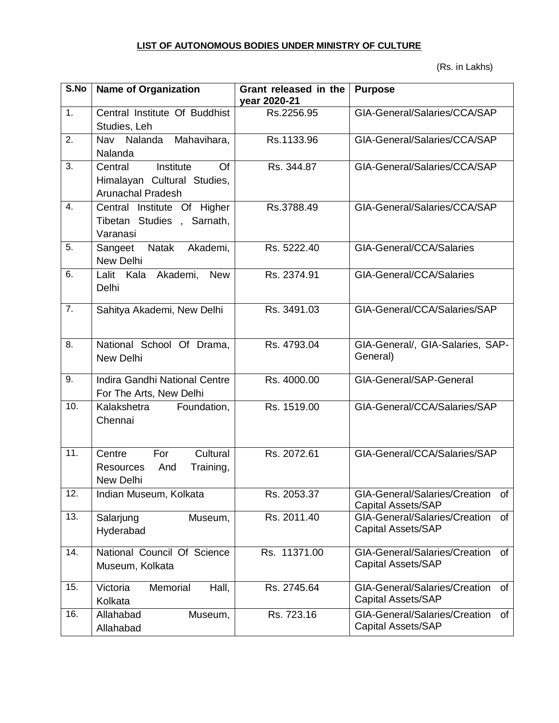## **LIST OF AUTONOMOUS BODIES UNDER MINISTRY OF CULTURE**

(Rs. in Lakhs)

| S.No | <b>Name of Organization</b>                                                           | Grant released in the<br>year 2020-21 | <b>Purpose</b>                                                   |
|------|---------------------------------------------------------------------------------------|---------------------------------------|------------------------------------------------------------------|
| 1.   | Central Institute Of Buddhist<br>Studies, Leh                                         | Rs.2256.95                            | GIA-General/Salaries/CCA/SAP                                     |
| 2.   | Mahavihara,<br>Nav<br>Nalanda<br>Nalanda                                              | Rs.1133.96                            | GIA-General/Salaries/CCA/SAP                                     |
| 3.   | Institute<br>Of<br>Central<br>Himalayan Cultural Studies,<br><b>Arunachal Pradesh</b> | Rs. 344.87                            | GIA-General/Salaries/CCA/SAP                                     |
| 4.   | Central Institute Of Higher<br>Tibetan Studies, Sarnath,<br>Varanasi                  | Rs.3788.49                            | GIA-General/Salaries/CCA/SAP                                     |
| 5.   | Natak<br>Akademi,<br>Sangeet<br>New Delhi                                             | Rs. 5222.40                           | GIA-General/CCA/Salaries                                         |
| 6.   | Lalit Kala Akademi,<br><b>New</b><br>Delhi                                            | Rs. 2374.91                           | GIA-General/CCA/Salaries                                         |
| 7.   | Sahitya Akademi, New Delhi                                                            | Rs. 3491.03                           | GIA-General/CCA/Salaries/SAP                                     |
| 8.   | National School Of Drama,<br>New Delhi                                                | Rs. 4793.04                           | GIA-General/, GIA-Salaries, SAP-<br>General)                     |
| 9.   | Indira Gandhi National Centre<br>For The Arts, New Delhi                              | Rs. 4000.00                           | GIA-General/SAP-General                                          |
| 10.  | Kalakshetra<br>Foundation,<br>Chennai                                                 | Rs. 1519.00                           | GIA-General/CCA/Salaries/SAP                                     |
| 11.  | Cultural<br>Centre<br>For<br><b>Resources</b><br>Training,<br>And<br>New Delhi        | Rs. 2072.61                           | GIA-General/CCA/Salaries/SAP                                     |
| 12.  | Indian Museum, Kolkata                                                                | Rs. 2053.37                           | GIA-General/Salaries/Creation<br>of<br><b>Capital Assets/SAP</b> |
| 13.  | Salarjung<br>Museum,<br>Hyderabad                                                     | Rs. 2011.40                           | GIA-General/Salaries/Creation<br>of<br><b>Capital Assets/SAP</b> |
| 14.  | National Council Of Science<br>Museum, Kolkata                                        | Rs. 11371.00                          | GIA-General/Salaries/Creation<br>of<br><b>Capital Assets/SAP</b> |
| 15.  | Memorial<br>Hall,<br>Victoria<br>Kolkata                                              | Rs. 2745.64                           | GIA-General/Salaries/Creation<br>0f<br><b>Capital Assets/SAP</b> |
| 16.  | Allahabad<br>Museum,<br>Allahabad                                                     | Rs. 723.16                            | GIA-General/Salaries/Creation<br>of<br><b>Capital Assets/SAP</b> |